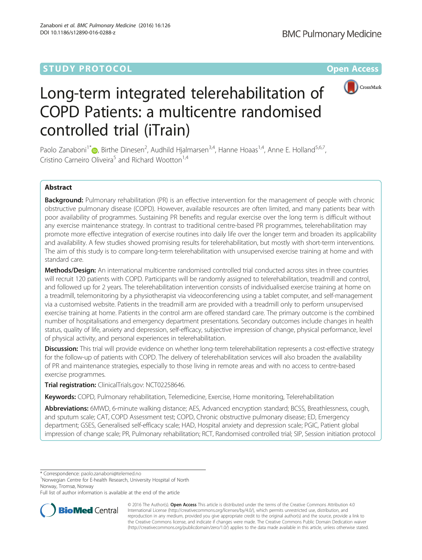## **STUDY PROTOCOL CONSUMING THE RESERVE ACCESS**



# Long-term integrated telerehabilitation of COPD Patients: a multicentre randomised controlled trial (iTrain)

Paolo Zanaboni<sup>1[\\*](http://orcid.org/0000-0002-5469-092X)</sup> (**D**, Birthe Dinesen<sup>2</sup>, Audhild Hjalmarsen<sup>3,4</sup>, Hanne Hoaas<sup>1,4</sup>, Anne E. Holland<sup>5,6,7</sup>, Cristino Carneiro Oliveira<sup>5</sup> and Richard Wootton<sup>1,4</sup>

## Abstract

Background: Pulmonary rehabilitation (PR) is an effective intervention for the management of people with chronic obstructive pulmonary disease (COPD). However, available resources are often limited, and many patients bear with poor availability of programmes. Sustaining PR benefits and regular exercise over the long term is difficult without any exercise maintenance strategy. In contrast to traditional centre-based PR programmes, telerehabilitation may promote more effective integration of exercise routines into daily life over the longer term and broaden its applicability and availability. A few studies showed promising results for telerehabilitation, but mostly with short-term interventions. The aim of this study is to compare long-term telerehabilitation with unsupervised exercise training at home and with standard care.

Methods/Design: An international multicentre randomised controlled trial conducted across sites in three countries will recruit 120 patients with COPD. Participants will be randomly assigned to telerehabilitation, treadmill and control, and followed up for 2 years. The telerehabilitation intervention consists of individualised exercise training at home on a treadmill, telemonitoring by a physiotherapist via videoconferencing using a tablet computer, and self-management via a customised website. Patients in the treadmill arm are provided with a treadmill only to perform unsupervised exercise training at home. Patients in the control arm are offered standard care. The primary outcome is the combined number of hospitalisations and emergency department presentations. Secondary outcomes include changes in health status, quality of life, anxiety and depression, self-efficacy, subjective impression of change, physical performance, level of physical activity, and personal experiences in telerehabilitation.

Discussion: This trial will provide evidence on whether long-term telerehabilitation represents a cost-effective strategy for the follow-up of patients with COPD. The delivery of telerehabilitation services will also broaden the availability of PR and maintenance strategies, especially to those living in remote areas and with no access to centre-based exercise programmes.

Trial registration: ClinicalTrials.gov: [NCT02258646.](https://clinicaltrials.gov/ct2/show/NCT02258646)

Keywords: COPD, Pulmonary rehabilitation, Telemedicine, Exercise, Home monitoring, Telerehabilitation

Abbreviations: 6MWD, 6-minute walking distance; AES, Advanced encryption standard; BCSS, Breathlessness, cough, and sputum scale; CAT, COPD Assessment test; COPD, Chronic obstructive pulmonary disease; ED, Emergency department; GSES, Generalised self-efficacy scale; HAD, Hospital anxiety and depression scale; PGIC, Patient global impression of change scale; PR, Pulmonary rehabilitation; RCT, Randomised controlled trial; SIP, Session initiation protocol

\* Correspondence: [paolo.zanaboni@telemed.no](mailto:paolo.zanaboni@telemed.no) <sup>1</sup>

<sup>1</sup>Norwegian Centre for E-health Research, University Hospital of North Norway, Tromsø, Norway

Full list of author information is available at the end of the article



© 2016 The Author(s). Open Access This article is distributed under the terms of the Creative Commons Attribution 4.0 International License [\(http://creativecommons.org/licenses/by/4.0/](http://creativecommons.org/licenses/by/4.0/)), which permits unrestricted use, distribution, and reproduction in any medium, provided you give appropriate credit to the original author(s) and the source, provide a link to the Creative Commons license, and indicate if changes were made. The Creative Commons Public Domain Dedication waiver [\(http://creativecommons.org/publicdomain/zero/1.0/](http://creativecommons.org/publicdomain/zero/1.0/)) applies to the data made available in this article, unless otherwise stated.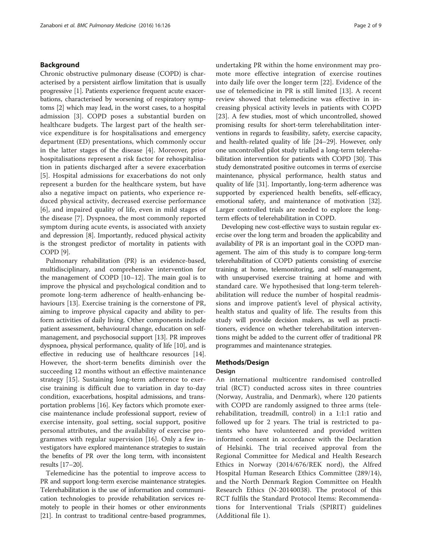#### Background

Chronic obstructive pulmonary disease (COPD) is characterised by a persistent airflow limitation that is usually progressive [[1](#page-7-0)]. Patients experience frequent acute exacerbations, characterised by worsening of respiratory symptoms [[2\]](#page-7-0) which may lead, in the worst cases, to a hospital admission [\[3](#page-7-0)]. COPD poses a substantial burden on healthcare budgets. The largest part of the health service expenditure is for hospitalisations and emergency department (ED) presentations, which commonly occur in the latter stages of the disease [[4\]](#page-7-0). Moreover, prior hospitalisations represent a risk factor for rehospitalisation in patients discharged after a severe exacerbation [[5\]](#page-7-0). Hospital admissions for exacerbations do not only represent a burden for the healthcare system, but have also a negative impact on patients, who experience reduced physical activity, decreased exercise performance [[6\]](#page-7-0), and impaired quality of life, even in mild stages of the disease [\[7](#page-7-0)]. Dyspnoea, the most commonly reported symptom during acute events, is associated with anxiety and depression [\[8](#page-7-0)]. Importantly, reduced physical activity is the strongest predictor of mortality in patients with COPD [\[9\]](#page-7-0).

Pulmonary rehabilitation (PR) is an evidence-based, multidisciplinary, and comprehensive intervention for the management of COPD [\[10](#page-7-0)–[12\]](#page-7-0). The main goal is to improve the physical and psychological condition and to promote long-term adherence of health-enhancing behaviours [[13](#page-7-0)]. Exercise training is the cornerstone of PR, aiming to improve physical capacity and ability to perform activities of daily living. Other components include patient assessment, behavioural change, education on selfmanagement, and psychosocial support [\[13](#page-7-0)]. PR improves dyspnoea, physical performance, quality of life [[10](#page-7-0)], and is effective in reducing use of healthcare resources [[14](#page-7-0)]. However, the short-term benefits diminish over the succeeding 12 months without an effective maintenance strategy [[15\]](#page-7-0). Sustaining long-term adherence to exercise training is difficult due to variation in day to-day condition, exacerbations, hospital admissions, and transportation problems [\[16\]](#page-7-0). Key factors which promote exercise maintenance include professional support, review of exercise intensity, goal setting, social support, positive personal attributes, and the availability of exercise programmes with regular supervision [[16\]](#page-7-0). Only a few investigators have explored maintenance strategies to sustain the benefits of PR over the long term, with inconsistent results [\[17](#page-7-0)–[20](#page-7-0)].

Telemedicine has the potential to improve access to PR and support long-term exercise maintenance strategies. Telerehabilitation is the use of information and communication technologies to provide rehabilitation services remotely to people in their homes or other environments [[21](#page-7-0)]. In contrast to traditional centre-based programmes,

undertaking PR within the home environment may promote more effective integration of exercise routines into daily life over the longer term [[22\]](#page-7-0). Evidence of the use of telemedicine in PR is still limited [[13\]](#page-7-0). A recent review showed that telemedicine was effective in increasing physical activity levels in patients with COPD [[23\]](#page-7-0). A few studies, most of which uncontrolled, showed promising results for short-term telerehabilitation interventions in regards to feasibility, safety, exercise capacity, and health-related quality of life [\[24](#page-7-0)–[29\]](#page-7-0). However, only one uncontrolled pilot study trialled a long-term telerehabilitation intervention for patients with COPD [\[30\]](#page-7-0). This study demonstrated positive outcomes in terms of exercise maintenance, physical performance, health status and quality of life [[31](#page-7-0)]. Importantly, long-term adherence was supported by experienced health benefits, self-efficacy, emotional safety, and maintenance of motivation [[32](#page-7-0)]. Larger controlled trials are needed to explore the longterm effects of telerehabilitation in COPD.

Developing new cost-effective ways to sustain regular exercise over the long term and broaden the applicability and availability of PR is an important goal in the COPD management. The aim of this study is to compare long-term telerehabilitation of COPD patients consisting of exercise training at home, telemonitoring, and self-management, with unsupervised exercise training at home and with standard care. We hypothesised that long-term telerehabilitation will reduce the number of hospital readmissions and improve patient's level of physical activity, health status and quality of life. The results from this study will provide decision makers, as well as practitioners, evidence on whether telerehabilitation interventions might be added to the current offer of traditional PR programmes and maintenance strategies.

#### Methods/Design

#### Design

An international multicentre randomised controlled trial (RCT) conducted across sites in three countries (Norway, Australia, and Denmark), where 120 patients with COPD are randomly assigned to three arms (telerehabilitation, treadmill, control) in a 1:1:1 ratio and followed up for 2 years. The trial is restricted to patients who have volunteered and provided written informed consent in accordance with the Declaration of Helsinki. The trial received approval from the Regional Committee for Medical and Health Research Ethics in Norway (2014/676/REK nord), the Alfred Hospital Human Research Ethics Committee (289/14), and the North Denmark Region Committee on Health Research Ethics (N-20140038). The protocol of this RCT fulfils the Standard Protocol Items: Recommendations for Interventional Trials (SPIRIT) guidelines (Additional file [1\)](#page-6-0).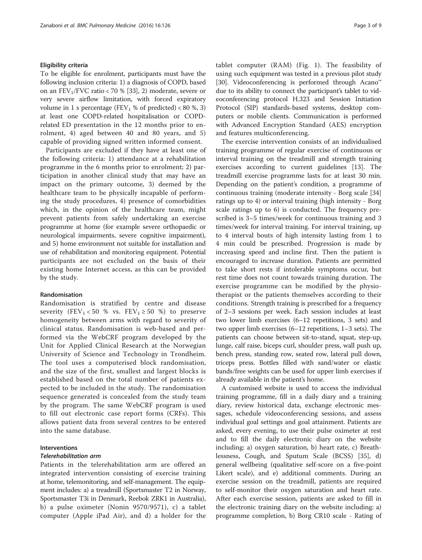#### Eligibility criteria

To be eligible for enrolment, participants must have the following inclusion criteria: 1) a diagnosis of COPD, based on an  $FEV_1/FVC$  ratio < 70 % [\[33\]](#page-7-0), 2) moderate, severe or very severe airflow limitation, with forced expiratory volume in 1 s percentage (FEV<sub>1</sub> % of predicted) < 80 %, 3) at least one COPD-related hospitalisation or COPDrelated ED presentation in the 12 months prior to enrolment, 4) aged between 40 and 80 years, and 5) capable of providing signed written informed consent.

Participants are excluded if they have at least one of the following criteria: 1) attendance at a rehabilitation programme in the 6 months prior to enrolment; 2) participation in another clinical study that may have an impact on the primary outcome, 3) deemed by the healthcare team to be physically incapable of performing the study procedures, 4) presence of comorbidities which, in the opinion of the healthcare team, might prevent patients from safely undertaking an exercise programme at home (for example severe orthopaedic or neurological impairments, severe cognitive impairment), and 5) home environment not suitable for installation and use of rehabilitation and monitoring equipment. Potential participants are not excluded on the basis of their existing home Internet access, as this can be provided by the study.

#### Randomisation

Randomisation is stratified by centre and disease severity (FEV<sub>1</sub> < 50 % vs. FEV<sub>1</sub>  $\geq$  50 %) to preserve homogeneity between arms with regard to severity of clinical status. Randomisation is web-based and performed via the WebCRF program developed by the Unit for Applied Clinical Research at the Norwegian University of Science and Technology in Trondheim. The tool uses a computerised block randomisation, and the size of the first, smallest and largest blocks is established based on the total number of patients expected to be included in the study. The randomisation sequence generated is concealed from the study team by the program. The same WebCRF program is used to fill out electronic case report forms (CRFs). This allows patient data from several centres to be entered into the same database.

#### Interventions

#### Telerehabilitation arm

Patients in the telerehabilitation arm are offered an integrated intervention consisting of exercise training at home, telemonitoring, and self-management. The equipment includes: a) a treadmill (Sportsmaster T2 in Norway, Sportsmaster T3i in Denmark, Reebok ZRK1 in Australia), b) a pulse oximeter (Nonin 9570/9571), c) a tablet computer (Apple iPad Air), and d) a holder for the tablet computer (RAM) (Fig. [1](#page-3-0)). The feasibility of using such equipment was tested in a previous pilot study [[30](#page-7-0)]. Videoconferencing is performed through Acano<sup>™</sup> due to its ability to connect the participant's tablet to videoconferencing protocol H.323 and Session Initiation Protocol (SIP) standards-based systems, desktop computers or mobile clients. Communication is performed with Advanced Encryption Standard (AES) encryption and features multiconferencing.

The exercise intervention consists of an individualised training programme of regular exercise of continuous or interval training on the treadmill and strength training exercises according to current guidelines [[13\]](#page-7-0). The treadmill exercise programme lasts for at least 30 min. Depending on the patient's condition, a programme of continuous training (moderate intensity - Borg scale [[34](#page-7-0)] ratings up to 4) or interval training (high intensity - Borg scale ratings up to 6) is conducted. The frequency prescribed is 3–5 times/week for continuous training and 3 times/week for interval training. For interval training, up to 4 interval bouts of high intensity lasting from 1 to 4 min could be prescribed. Progression is made by increasing speed and incline first. Then the patient is encouraged to increase duration. Patients are permitted to take short rests if intolerable symptoms occur, but rest time does not count towards training duration. The exercise programme can be modified by the physiotherapist or the patients themselves according to their conditions. Strength training is prescribed for a frequency of 2–3 sessions per week. Each session includes at least two lower limb exercises (6–12 repetitions, 3 sets) and two upper limb exercises (6–12 repetitions, 1–3 sets). The patients can choose between sit-to-stand, squat, step-up, lunge, calf raise, biceps curl, shoulder press, wall push up, bench press, standing row, seated row, lateral pull down, triceps press. Bottles filled with sand/water or elastic bands/free weights can be used for upper limb exercises if already available in the patient's home.

A customised website is used to access the individual training programme, fill in a daily diary and a training diary, review historical data, exchange electronic messages, schedule videoconferencing sessions, and assess individual goal settings and goal attainment. Patients are asked, every evening, to use their pulse oximeter at rest and to fill the daily electronic diary on the website including: a) oxygen saturation, b) heart rate, c) Breathlessness, Cough, and Sputum Scale (BCSS) [\[35](#page-7-0)], d) general wellbeing (qualitative self-score on a five-point Likert scale), and e) additional comments. During an exercise session on the treadmill, patients are required to self-monitor their oxygen saturation and heart rate. After each exercise session, patients are asked to fill in the electronic training diary on the website including: a) programme completion, b) Borg CR10 scale - Rating of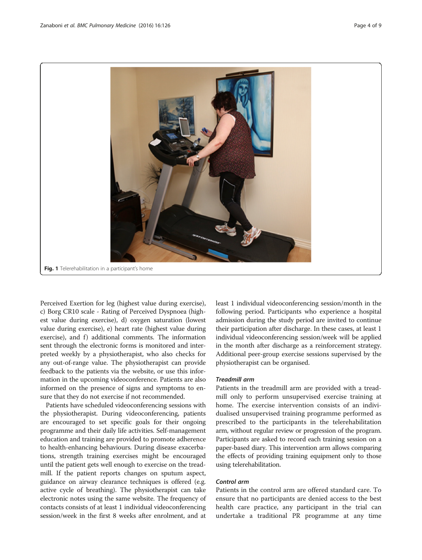<span id="page-3-0"></span>

Perceived Exertion for leg (highest value during exercise), c) Borg CR10 scale - Rating of Perceived Dyspnoea (highest value during exercise), d) oxygen saturation (lowest value during exercise), e) heart rate (highest value during exercise), and f) additional comments. The information sent through the electronic forms is monitored and interpreted weekly by a physiotherapist, who also checks for any out-of-range value. The physiotherapist can provide feedback to the patients via the website, or use this information in the upcoming videoconference. Patients are also informed on the presence of signs and symptoms to ensure that they do not exercise if not recommended.

Patients have scheduled videoconferencing sessions with the physiotherapist. During videoconferencing, patients are encouraged to set specific goals for their ongoing programme and their daily life activities. Self-management education and training are provided to promote adherence to health-enhancing behaviours. During disease exacerbations, strength training exercises might be encouraged until the patient gets well enough to exercise on the treadmill. If the patient reports changes on sputum aspect, guidance on airway clearance techniques is offered (e.g. active cycle of breathing). The physiotherapist can take electronic notes using the same website. The frequency of contacts consists of at least 1 individual videoconferencing session/week in the first 8 weeks after enrolment, and at

least 1 individual videoconferencing session/month in the following period. Participants who experience a hospital admission during the study period are invited to continue their participation after discharge. In these cases, at least 1 individual videoconferencing session/week will be applied in the month after discharge as a reinforcement strategy. Additional peer-group exercise sessions supervised by the physiotherapist can be organised.

#### Treadmill arm

Patients in the treadmill arm are provided with a treadmill only to perform unsupervised exercise training at home. The exercise intervention consists of an individualised unsupervised training programme performed as prescribed to the participants in the telerehabilitation arm, without regular review or progression of the program. Participants are asked to record each training session on a paper-based diary. This intervention arm allows comparing the effects of providing training equipment only to those using telerehabilitation.

#### Control arm

Patients in the control arm are offered standard care. To ensure that no participants are denied access to the best health care practice, any participant in the trial can undertake a traditional PR programme at any time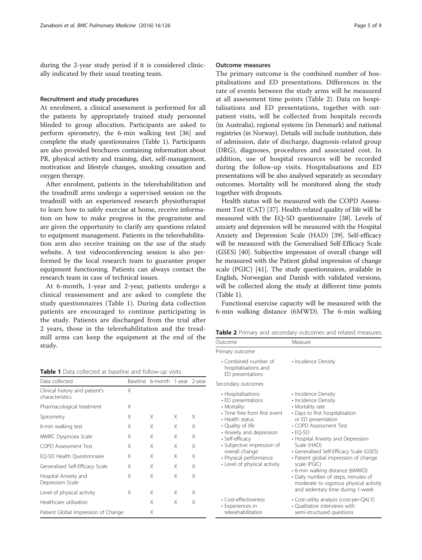during the 2-year study period if it is considered clinically indicated by their usual treating team.

#### Recruitment and study procedures

At enrolment, a clinical assessment is performed for all the patients by appropriately trained study personnel blinded to group allocation. Participants are asked to perform spirometry, the 6-min walking test [[36\]](#page-7-0) and complete the study questionnaires (Table 1). Participants are also provided brochures containing information about PR, physical activity and training, diet, self-management, motivation and lifestyle changes, smoking cessation and oxygen therapy.

After enrolment, patients in the telerehabilitation and the treadmill arms undergo a supervised session on the treadmill with an experienced research physiotherapist to learn how to safely exercise at home, receive information on how to make progress in the programme and are given the opportunity to clarify any questions related to equipment management. Patients in the telerehabilitation arm also receive training on the use of the study website. A test videoconferencing session is also performed by the local research team to guarantee proper equipment functioning. Patients can always contact the research team in case of technical issues.

At 6-month, 1-year and 2-year, patients undergo a clinical reassessment and are asked to complete the study questionnaires (Table 1). During data collection patients are encouraged to continue participating in the study. Patients are discharged from the trial after 2 years, those in the telerehabilitation and the treadmill arms can keep the equipment at the end of the study.

Table 1 Data collected at baseline and follow-up visits

| Data collected                                    |   | Baseline 6-month 1-year 2-year |   |   |
|---------------------------------------------------|---|--------------------------------|---|---|
| Clinical history and patient's<br>characteristics | X |                                |   |   |
| Pharmacological treatment                         | Χ |                                |   |   |
| Spirometry                                        | X | Χ                              | X | Χ |
| 6-min walking test                                | Χ | Χ                              | X | X |
| MMRC Dyspnoea Scale                               | Χ | X                              | X | X |
| COPD Assessment Test                              | Χ | Χ                              | X | Χ |
| EQ-5D Health Questionnaire                        | Χ | Χ                              | X | Χ |
| Generalised Self-Efficacy Scale                   | X | Χ                              | X | X |
| Hospital Anxiety and<br>Depression Scale          | X | Χ                              | X | Χ |
| Level of physical activity                        | Χ | Χ                              | X | X |
| Healthcare utilisation                            |   | X                              | X | Χ |
| Patient Global Impression of Change               |   | Χ                              |   |   |

#### Outcome measures

The primary outcome is the combined number of hospitalisations and ED presentations. Differences in the rate of events between the study arms will be measured at all assessment time points (Table 2). Data on hospitalisations and ED presentations, together with outpatient visits, will be collected from hospitals records (in Australia), regional systems (in Denmark) and national registries (in Norway). Details will include institution, date of admission, date of discharge, diagnosis-related group (DRG), diagnoses, procedures and associated cost. In addition, use of hospital resources will be recorded during the follow-up visits. Hospitalisations and ED presentations will be also analysed separately as secondary outcomes. Mortality will be monitored along the study together with dropouts.

Health status will be measured with the COPD Assessment Test (CAT) [[37\]](#page-7-0). Health-related quality of life will be measured with the EQ-5D questionnaire [\[38\]](#page-7-0). Levels of anxiety and depression will be measured with the Hospital Anxiety and Depression Scale (HAD) [\[39\]](#page-7-0). Self-efficacy will be measured with the Generalised Self-Efficacy Scale (GSES) [\[40\]](#page-7-0). Subjective impression of overall change will be measured with the Patient global impression of change scale (PGIC) [[41](#page-7-0)]. The study questionnaires, available in English, Norwegian and Danish with validated versions, will be collected along the study at different time points (Table 1).

Functional exercise capacity will be measured with the 6-min walking distance (6MWD). The 6-min walking

Table 2 Primary and secondary outcomes and related measures

| Outcome                                                                                                                                                                                                                                                                                        | Measure                                                                                                                                                                                                                                                                                                                                                                                                                                                                             |
|------------------------------------------------------------------------------------------------------------------------------------------------------------------------------------------------------------------------------------------------------------------------------------------------|-------------------------------------------------------------------------------------------------------------------------------------------------------------------------------------------------------------------------------------------------------------------------------------------------------------------------------------------------------------------------------------------------------------------------------------------------------------------------------------|
| Primary outcome                                                                                                                                                                                                                                                                                |                                                                                                                                                                                                                                                                                                                                                                                                                                                                                     |
| • Combined number of<br>hospitalisations and<br>ED presentations                                                                                                                                                                                                                               | • Incidence Density                                                                                                                                                                                                                                                                                                                                                                                                                                                                 |
| Secondary outcomes                                                                                                                                                                                                                                                                             |                                                                                                                                                                                                                                                                                                                                                                                                                                                                                     |
| • Hospitalisations<br>$\cdot$ ED presentations<br>• Mortality<br>• Time free from first event<br>• Health status<br>• Quality of life<br>• Anxiety and depression<br>· Self-efficacy<br>· Subjective impression of<br>overall change<br>• Physical performance<br>• Level of physical activity | • Incidence Density<br>• Incidence Density<br>• Mortality rate<br>• Days to first hospitalisation<br>or ED presentation<br>• COPD Assessment Test<br>$\cdot$ EO-5D<br>• Hospital Anxiety and Depression<br>Scale (HAD)<br>• Generalised Self-Efficacy Scale (GSES)<br>· Patient global impression of change<br>scale (PGIC)<br>• 6-min walking distance (6MWD)<br>• Daily number of steps, minutes of<br>moderate to vigorous physical activity<br>and sedentary time during 1-week |
| • Cost-effectiveness<br>• Experiences in<br>telerehabilitation                                                                                                                                                                                                                                 | • Cost-utility analysis (cost-per-QALY)<br>• Qualitative interviews with<br>semi-structured questions                                                                                                                                                                                                                                                                                                                                                                               |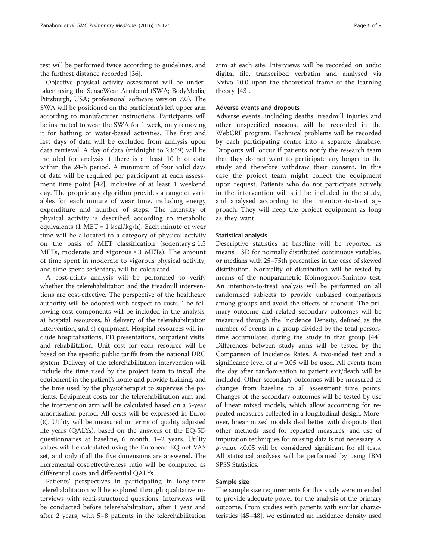test will be performed twice according to guidelines, and the furthest distance recorded [[36\]](#page-7-0).

Objective physical activity assessment will be undertaken using the SenseWear Armband (SWA; BodyMedia, Pittsburgh, USA; professional software version 7.0). The SWA will be positioned on the participant's left upper arm according to manufacturer instructions. Participants will be instructed to wear the SWA for 1 week, only removing it for bathing or water-based activities. The first and last days of data will be excluded from analysis upon data retrieval. A day of data (midnight to 23:59) will be included for analysis if there is at least 10 h of data within the 24-h period. A minimum of four valid days of data will be required per participant at each assessment time point [[42\]](#page-7-0), inclusive of at least 1 weekend day. The proprietary algorithm provides a range of variables for each minute of wear time, including energy expenditure and number of steps. The intensity of physical activity is described according to metabolic equivalents  $(1 \text{ MET} = 1 \text{ kcal/kg/h})$ . Each minute of wear time will be allocated to a category of physical activity on the basis of MET classification (sedentary  $\leq 1.5$ METs, moderate and vigorous  $\geq$  3 METs). The amount of time spent in moderate to vigorous physical activity, and time spent sedentary, will be calculated.

A cost-utility analysis will be performed to verify whether the telerehabilitation and the treadmill interventions are cost-effective. The perspective of the healthcare authority will be adopted with respect to costs. The following cost components will be included in the analysis: a) hospital resources, b) delivery of the telerehabilitation intervention, and c) equipment. Hospital resources will include hospitalisations, ED presentations, outpatient visits, and rehabilitation. Unit cost for each resource will be based on the specific public tariffs from the national DRG system. Delivery of the telerehabilitation intervention will include the time used by the project team to install the equipment in the patient's home and provide training, and the time used by the physiotherapist to supervise the patients. Equipment costs for the telerehabilitation arm and the intervention arm will be calculated based on a 5-year amortisation period. All costs will be expressed in Euros (€). Utility will be measured in terms of quality adjusted life years (QALYs), based on the answers of the EQ-5D questionnaires at baseline, 6 month, 1–2 years. Utility values will be calculated using the European EQ-net VAS set, and only if all the five dimensions are answered. The incremental cost-effectiveness ratio will be computed as differential costs and differential QALYs.

Patients' perspectives in participating in long-term telerehabilitation will be explored through qualitative interviews with semi-structured questions. Interviews will be conducted before telerehabilitation, after 1 year and after 2 years, with 5–8 patients in the telerehabilitation

arm at each site. Interviews will be recorded on audio digital file, transcribed verbatim and analysed via Nvivo 10.0 upon the theoretical frame of the learning theory [[43](#page-8-0)].

#### Adverse events and dropouts

Adverse events, including deaths, treadmill injuries and other unspecified reasons, will be recorded in the WebCRF program. Technical problems will be recorded by each participating centre into a separate database. Dropouts will occur if patients notify the research team that they do not want to participate any longer to the study and therefore withdraw their consent. In this case the project team might collect the equipment upon request. Patients who do not participate actively in the intervention will still be included in the study, and analysed according to the intention-to-treat approach. They will keep the project equipment as long as they want.

#### Statistical analysis

Descriptive statistics at baseline will be reported as means ± SD for normally distributed continuous variables, or medians with 25–75th percentiles in the case of skewed distribution. Normality of distribution will be tested by means of the nonparametric Kolmogorov-Smirnov test. An intention-to-treat analysis will be performed on all randomised subjects to provide unbiased comparisons among groups and avoid the effects of dropout. The primary outcome and related secondary outcomes will be measured through the Incidence Density, defined as the number of events in a group divided by the total persontime accumulated during the study in that group [[44](#page-8-0)]. Differences between study arms will be tested by the Comparison of Incidence Rates. A two-sided test and a significance level of  $\alpha$  = 0.05 will be used. All events from the day after randomisation to patient exit/death will be included. Other secondary outcomes will be measured as changes from baseline to all assessment time points. Changes of the secondary outcomes will be tested by use of linear mixed models, which allow accounting for repeated measures collected in a longitudinal design. Moreover, linear mixed models deal better with dropouts that other methods used for repeated measures, and use of imputation techniques for missing data is not necessary. A  $p$ -value <0.05 will be considered significant for all tests. All statistical analyses will be performed by using IBM SPSS Statistics.

#### Sample size

The sample size requirements for this study were intended to provide adequate power for the analysis of the primary outcome. From studies with patients with similar characteristics [\[45](#page-8-0)–[48](#page-8-0)], we estimated an incidence density used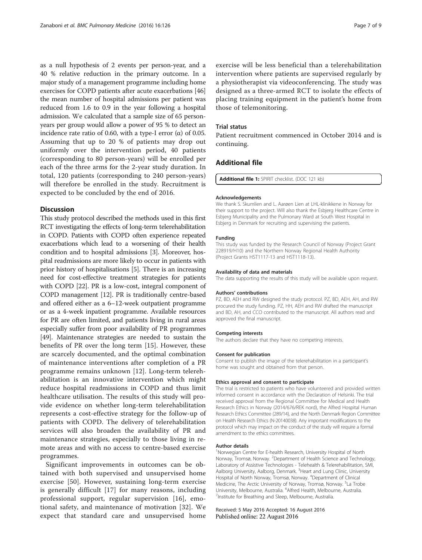<span id="page-6-0"></span>as a null hypothesis of 2 events per person-year, and a 40 % relative reduction in the primary outcome. In a major study of a management programme including home exercises for COPD patients after acute exacerbations [[46](#page-8-0)] the mean number of hospital admissions per patient was reduced from 1.6 to 0.9 in the year following a hospital admission. We calculated that a sample size of 65 personyears per group would allow a power of 95 % to detect an incidence rate ratio of 0.60, with a type-I error (α) of 0.05. Assuming that up to 20 % of patients may drop out uniformly over the intervention period, 40 patients (corresponding to 80 person-years) will be enrolled per each of the three arms for the 2-year study duration. In total, 120 patients (corresponding to 240 person-years) will therefore be enrolled in the study. Recruitment is expected to be concluded by the end of 2016.

#### **Discussion**

This study protocol described the methods used in this first RCT investigating the effects of long-term telerehabilitation in COPD. Patients with COPD often experience repeated exacerbations which lead to a worsening of their health condition and to hospital admissions [[3\]](#page-7-0). Moreover, hospital readmissions are more likely to occur in patients with prior history of hospitalisations [\[5](#page-7-0)]. There is an increasing need for cost-effective treatment strategies for patients with COPD [[22](#page-7-0)]. PR is a low-cost, integral component of COPD management [\[12\]](#page-7-0). PR is traditionally centre-based and offered either as a 6–12-week outpatient programme or as a 4-week inpatient programme. Available resources for PR are often limited, and patients living in rural areas especially suffer from poor availability of PR programmes [[49](#page-8-0)]. Maintenance strategies are needed to sustain the benefits of PR over the long term [\[15](#page-7-0)]. However, these are scarcely documented, and the optimal combination of maintenance interventions after completion of a PR programme remains unknown [[12](#page-7-0)]. Long-term telerehabilitation is an innovative intervention which might reduce hospital readmissions in COPD and thus limit healthcare utilisation. The results of this study will provide evidence on whether long-term telerehabilitation represents a cost-effective strategy for the follow-up of patients with COPD. The delivery of telerehabilitation services will also broaden the availability of PR and maintenance strategies, especially to those living in remote areas and with no access to centre-based exercise programmes.

Significant improvements in outcomes can be obtained with both supervised and unsupervised home exercise [\[50\]](#page-8-0). However, sustaining long-term exercise is generally difficult [[17\]](#page-7-0) for many reasons, including professional support, regular supervision [\[16](#page-7-0)], emotional safety, and maintenance of motivation [[32\]](#page-7-0). We expect that standard care and unsupervised home

exercise will be less beneficial than a telerehabilitation intervention where patients are supervised regularly by a physiotherapist via videoconferencing. The study was designed as a three-armed RCT to isolate the effects of placing training equipment in the patient's home from those of telemonitoring.

#### Trial status

Patient recruitment commenced in October 2014 and is continuing.

#### Additional file

[Additional file 1:](dx.doi.org/10.1186/s12890-016-0288-z) SPIRIT checklist. (DOC 121 kb)

#### Acknowledgements

We thank S. Skumlien and L. Aarøen Lien at LHL-klinikkene in Norway for their support to the project. Will also thank the Esbjerg Healthcare Centre in Esbjerg Municipality and the Pulmonary Ward at South West Hospital in Esbjerg in Denmark for recruiting and supervising the patients.

#### Funding

This study was funded by the Research Council of Norway (Project Grant 228919/H10) and the Northern Norway Regional Health Authority (Project Grants HST1117-13 and HST1118-13).

#### Availability of data and materials

The data supporting the results of this study will be available upon request.

#### Authors' contributions

PZ, BD, AEH and RW designed the study protocol. PZ, BD, AEH, AH, and RW procured the study funding. PZ, HH, AEH and RW drafted the manuscript and BD, AH, and CCO contributed to the manuscript. All authors read and approved the final manuscript.

#### Competing interests

The authors declare that they have no competing interests.

#### Consent for publication

Consent to publish the image of the telerehabilitation in a participant's home was sought and obtained from that person.

#### Ethics approval and consent to participate

The trial is restricted to patients who have volunteered and provided written informed consent in accordance with the Declaration of Helsinki. The trial received approval from the Regional Committee for Medical and Health Research Ethics in Norway (2014/676/REK nord), the Alfred Hospital Human Research Ethics Committee (289/14), and the North Denmark Region Committee on Health Research Ethics (N-20140038). Any important modifications to the protocol which may impact on the conduct of the study will require a formal amendment to the ethics committees.

#### Author details

<sup>1</sup>Norwegian Centre for E-health Research, University Hospital of North Norway, Tromsø, Norway. <sup>2</sup>Department of Health Science and Technology Laboratory of Assistive Technologies - Telehealth & Telerehabilitation, SMI, Aalborg University, Aalborg, Denmark. <sup>3</sup> Heart and Lung Clinic, University Hospital of North Norway, Tromsø, Norway. <sup>4</sup> Department of Clinical Medicine, The Arctic University of Norway, Tromsø, Norway. <sup>5</sup>La Trobe University, Melbourne, Australia. <sup>6</sup> Alfred Health, Melbourne, Australia.<br><sup>7</sup> Instituto for Broathing and Sloop, Melbourne, Australia. Institute for Breathing and Sleep, Melbourne, Australia.

Received: 5 May 2016 Accepted: 16 August 2016 Published online: 22 August 2016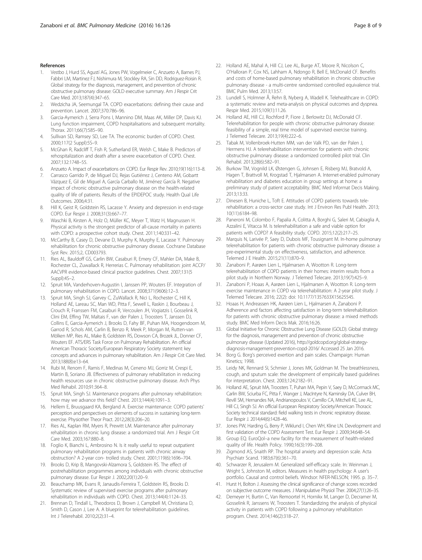- <span id="page-7-0"></span>1. Vestbo J, Hurd SS, Agustí AG, Jones PW, Vogelmeier C, Anzueto A, Barnes PJ, Fabbri LM, Martinez FJ, Nishimura M, Stockley RA, Sin DD, Rodriguez-Roisin R. Global strategy for the diagnosis, management, and prevention of chronic obstructive pulmonary disease: GOLD executive summary. Am J Respir Crit Care Med. 2013;187(4):347–65.
- 2. Wedzicha JA, Seemungal TA. COPD exacerbations: defining their cause and prevention. Lancet. 2007;370:786–96.
- 3. Garcia-Aymerich J, Serra Pons I, Mannino DM, Maas AK, Miller DP, Davis KJ. Lung function impairment, COPD hospitalisations and subsequent mortality. Thorax. 2011;66(7):585–90.
- 4. Sullivan SD, Ramsey SD, Lee TA. The economic burden of COPD. Chest. 2000;117(2 Suppl):5S–9.
- 5. McGhan R, Radcliff T, Fish R, Sutherland ER, Welsh C, Make B. Predictors of rehospitalization and death after a severe exacerbation of COPD. Chest. 2007;132:1748–55.
- 6. Anzueto A. Impact of exacerbations on COPD. Eur Respir Rev. 2010;19(116):113–8.
- 7. Carrasco Garrido P, de Miguel DJ, Rejas Gutiérrez J, Centeno AM, Gobartt Vázquez E, Gil de Miguel A, García Carballo M, Jiménez García R. Negative impact of chronic obstructive pulmonary disease on the health-related quality of life of patients. Results of the EPIDEPOC study. Health Qual Life Outcomes. 2006;4:31.
- 8. Hill K, Geist R, Goldstein RS, Lacasse Y. Anxiety and depression in end-stage COPD. Eur Respir J. 2008;31(3):667–77.
- 9. Waschki B, Kirsten A, Holz O, Müller KC, Meyer T, Watz H, Magnussen H. Physical activity is the strongest predictor of all-cause mortality in patients with COPD: a prospective cohort study. Chest. 2011;140:331–42.
- 10. McCarthy B, Casey D, Devane D, Murphy K, Murphy E, Lacasse Y. Pulmonary rehabilitation for chronic obstructive pulmonary disease. Cochrane Database Syst Rev. 2015;2, CD003793.
- 11. Ries AL, Bauldoff GS, Carlin BW, Casaburi R, Emery CF, Mahler DA, Make B, Rochester CL, Zuwallack R, Herrerias C. Pulmonary rehabilitation: joint ACCP/ AACVPR evidence-based clinical practice guidelines. Chest. 2007;131(5 Suppl):4S–2.
- 12. Spruit MA, Vanderhoven-Augustin I, Janssen PP, Wouters EF. Integration of pulmonary rehabilitation in COPD. Lancet. 2008;371(9606):12–3.
- 13. Spruit MA, Singh SJ, Garvey C, ZuWallack R, Nici L, Rochester C, Hill K, Holland AE, Lareau SC, Man WD, Pitta F, Sewell L, Raskin J, Bourbeau J, Crouch R, Franssen FM, Casaburi R, Vercoulen JH, Vogiatzis I, Gosselink R, Clini EM, Effing TW, Maltais F, van der Palen J, Troosters T, Janssen DJ, Collins E, Garcia-Aymerich J, Brooks D, Fahy BF, Puhan MA, Hoogendoorn M, Garrod R, Schols AM, Carlin B, Benzo R, Meek P, Morgan M, Rutten-van Mölken MP, Ries AL, Make B, Goldstein RS, Dowson CA, Brozek JL, Donner CF, Wouters EF. ATS/ERS Task Force on Pulmonary Rehabilitation. An official American Thoracic Society/European Respiratory Society statement: key concepts and advances in pulmonary rehabilitation. Am J Respir Crit Care Med. 2013;188(8):e13–64.
- 14. Rubi M, Renom F, Ramis F, Medinas M, Ceneno MJ, Gorriz M, Crespi E, Martin B, Soriano JB. Effectiveness of pulmonary rehabilitation in reducing health resources use in chronic obstructive pulmonary disease. Arch Phys Med Rehabil. 2010;91:364–8.
- 15. Spruit MA, Singh SJ. Maintenance programs after pulmonary rehabilitation: how may we advance this field? Chest. 2013;144(4):1091–3.
- 16. Hellem E, Bruusgaard KA, Bergland A. Exercise maintenance: COPD patients' perception and perspectives on elements of success in sustaining long-term exercise. Physiother Theor Pract. 2012;28(3):206–20.
- 17. Ries AL, Kaplan RM, Myers R, Prewitt LM. Maintenance after pulmonary rehabilitation in chronic lung disease: a randomized trial. Am J Respir Crit Care Med. 2003;167:880–8.
- 18. Foglio K, Bianchi L, Ambrosino N. Is it really useful to repeat outpatient pulmonary rehabilitation programs in patients with chronic airway obstruction? A 2-year con- trolled study. Chest. 2001;119(6):1696–704.
- 19. Brooks D, Krip B, Mangovski-Alzamora S, Goldstein RS. The effect of postrehabilitation programmes among individuals with chronic obstructive pulmonary disease. Eur Respir J. 2002;20(1):20–9.
- 20. Beauchamp MK, Evans R, Janaudis-Ferreira T, Goldstein RS, Brooks D. Systematic review of supervised exercise programs after pulmonary rehabilitation in individuals with COPD. Chest. 2013;144(4):1124–33.
- 21. Brennan D, Tindall L, Theodoros D, Brown J, Campbell M, Christiana D, Smith D, Cason J, Lee A. A blueprint for telerehabilitation guidelines. Int J Telerehabil. 2010;2(2):31–4.
- 22. Holland AE, Mahal A, Hill CJ, Lee AL, Burge AT, Moore R, Nicolson C, O'Halloran P, Cox NS, Lahham A, Ndongo R, Bell E, McDonald CF. Benefits and costs of home-based pulmonary rehabilitation in chronic obstructive pulmonary disease - a multi-centre randomised controlled equivalence trial. BMC Pulm Med. 2013;13:57.
- 23. Lundell S, Holmner Å, Rehn B, Nyberg A, Wadell K. Telehealthcare in COPD: a systematic review and meta-analysis on physical outcomes and dyspnea. Respir Med. 2015;109(1):11.26.
- 24. Holland AE, Hill CJ, Rochford P, Fiore J, Berlowitz DJ, McDonald CF. Telerehabilitation for people with chronic obstructive pulmonary disease: feasibility of a simple, real time model of supervised exercise training. J Telemed Telecare. 2013;19(4):222–6.
- 25. Tabak M, Vollenbroek-Hutten MM, van der Valk PD, van der Palen J, Hermens HJ. A telerehabilitation intervention for patients with chronic obstructive pulmonary disease: a randomized controlled pilot trial. Clin Rehabil. 2013;28(6):582–91.
- 26. Burkow TM, Vognild LK, Østengen G, Johnsen E, Risberg MJ, Bratvold A, Hagen T, Brattvoll M, Krogstad T, Hjalmarsen A. Internet-enabled pulmonary rehabilitation and diabetes education in group settings at home: a preliminary study of patient acceptability. BMC Med Informat Decis Making. 2013;13:33.
- 27. Dinesen B, Huniche L, Toft E. Attitudes of COPD patients towards telerehabilitation: a cross-sector case study. Int J Environ Res Publ Health. 2013; 10(11):6184–98.
- 28. Paneroni M, Colombo F, Papalia A, Colitta A, Borghi G, Saleri M, Cabiaglia A, Azzalini E, Vitacca M. Is telerehabilitation a safe and viable option for patients with COPD? A feasibility study. COPD. 2015;12(2):217–25.
- 29. Marquis N, Larivée P, Saey D, Dubois MF, Tousignant M. In-home pulmonary telerehabilitation for patients with chronic obstructive pulmonary disease: a pre-experimental study on effectiveness, satisfaction, and adherence. Telemed J E Health. 2015;21(11):870–9.
- 30. Zanaboni P, Aarøen Lien L, Hjalmarsen A, Wootton R. Long-term telerehabilitation of COPD patients in their homes: interim results from a pilot study in Northern Norway. J Telemed Telecare. 2013;19(7):425–9.
- 31. Zanaboni P, Hoaas A, Aarøen Lien L, Hjalmarsen A, Wootton R. Long-term exercise maintenance in COPD via telerehabilitation: A 2-year pilot study. J Telemed Telecare. 2016; 22(2): doi: 10.1177/1357633X15625545.
- 32. Hoaas H, Andreassen HK, Aarøen Lien L, Hjalmarsen A, Zanaboni P. Adherence and factors affecting satisfaction in long-term telerehabilitation for patients with chronic obstructive pulmonary disease: a mixed methods study. BMC Med Inform Decis Mak. 2016;16:26.
- 33. Global Initiative for Chronic Obstructive Lung Disease (GOLD). Global strategy for the diagnosis, management and prevention of chronic obstructive pulmonary disease (Updated 2016), [http://goldcopd.org/global-strategy](http://goldcopd.org/global-strategy-diagnosis-management-prevention-copd-2016/)[diagnosis-management-prevention-copd-2016/](http://goldcopd.org/global-strategy-diagnosis-management-prevention-copd-2016/) Accessed 25 Jan 2016.
- 34. Borg G. Borg's perceived exertion and pain scales. Champaign: Human Kinetics; 1998.
- 35. Leidy NK, Rennard SI, Schmier J, Jones MK, Goldman M. The breathlessness, cough, and sputum scale: the development of empirically based guidelines for interpretation. Chest. 2003;124:2182–91.
- 36. Holland AE, Spruit MA, Troosters T, Puhan MA, Pepin V, Saey D, McCormack MC, Carlin BW, Sciurba FC, Pitta F, Wanger J, MacIntyre N, Kaminsky DA, Culver BH, Revill SM, Hernandes NA, Andrianopoulos V, Camillo CA, Mitchell KE, Lee AL, Hill CJ, Singh SJ. An official European Respiratory Society/American Thoracic Society technical standard: field walking tests in chronic respiratory disease. Eur Respir J. 2014;44(6):1428–46.
- 37. Jones PW, Harding G, Berry P, Wiklund I, Chen WH, Kline LN. Development and first validation of the COPD Assessment Test. Eur Respir J. 2009;34:648–54.
- 38. Group EQ. EuroQol–a new facility for the measurement of health-related quality of life. Health Policy. 1990;16(3):199–208.
- Zigmond AS, Snaith RP. The hospital anxiety and depression scale. Acta Psychiatr Scand. 1983;67(6):361–70.
- 40. Schwarzer R, Jerusalem M. Generalized self-efficacy scale. In: Weinman J, Wright S, Johnston M, editors. Measures in health psychology: A user's portfolio. Causal and control beliefs. Windsor: NFER-NELSON; 1995. p. 35–7.
- 41. Hurst H, Bolton J. Assessing the clinical significance of change scores recorded on subjective outcome measures. J Manipulative Physiol Ther. 2004;27(1):26–35.
- 42. Demeyer H, Burtin C, Van Remoortel H, Hornikx M, Langer D, Decramer M, Gosselink R, Janssens W, Troosters T. Standardizing the analysis of physical activity in patients with COPD following a pulmonary rehabilitation program. Chest. 2014;146(2):318–27.